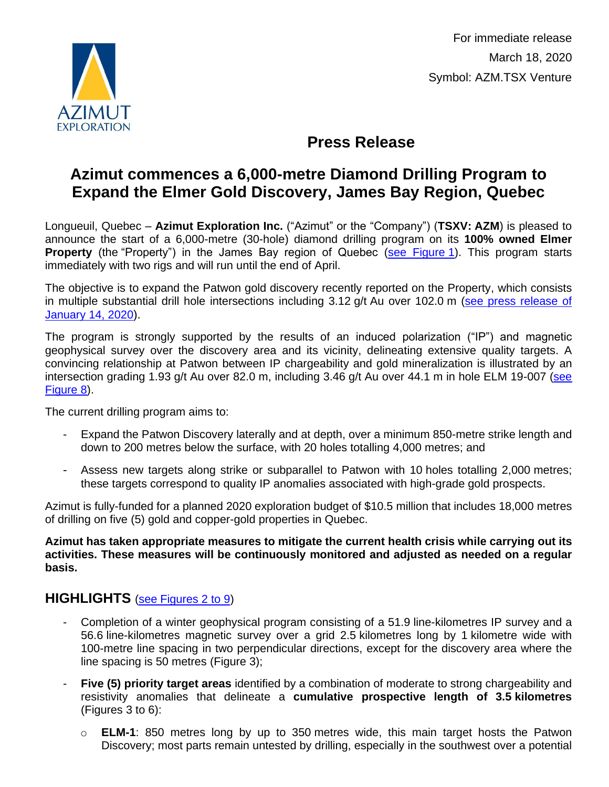

For immediate release March 18, 2020 Symbol: AZM.TSX Venture

# **Press Release**

# **Azimut commences a 6,000-metre Diamond Drilling Program to Expand the Elmer Gold Discovery, James Bay Region, Quebec**

Longueuil, Quebec – **Azimut Exploration Inc.** ("Azimut" or the "Company") (**TSXV: AZM**) is pleased to announce the start of a 6,000-metre (30-hole) diamond drilling program on its **100% owned Elmer Property** (the "Property") in the James Bay region of Quebec [\(see Figure](http://www.azimut-exploration.com/en/presentations/PR_20200318_Fig1-p.pdf) 1). This program starts immediately with two rigs and will run until the end of April.

The objective is to expand the Patwon gold discovery recently reported on the Property, which consists in multiple substantial drill hole intersections including 3.12 g/t Au over 102.0 m [\(see press release of](http://www.azimut-exploration.com/en/release/PR_20200114.pdf)  [January](http://www.azimut-exploration.com/en/release/PR_20200114.pdf) 14, 2020).

The program is strongly supported by the results of an induced polarization ("IP") and magnetic geophysical survey over the discovery area and its vicinity, delineating extensive quality targets. A convincing relationship at Patwon between IP chargeability and gold mineralization is illustrated by an intersection grading 1.93 g/t Au over 82.0 m, including 3.46 g/t Au over 44.1 m in hole ELM 19-007 (see [Figure](http://www.azimut-exploration.com/en/presentations/PR_20200318_Fig8-p.pdf) 8).

The current drilling program aims to:

- Expand the Patwon Discovery laterally and at depth, over a minimum 850-metre strike length and down to 200 metres below the surface, with 20 holes totalling 4,000 metres; and
- Assess new targets along strike or subparallel to Patwon with 10 holes totalling 2,000 metres; these targets correspond to quality IP anomalies associated with high-grade gold prospects.

Azimut is fully-funded for a planned 2020 exploration budget of \$10.5 million that includes 18,000 metres of drilling on five (5) gold and copper-gold properties in Quebec.

**Azimut has taken appropriate measures to mitigate the current health crisis while carrying out its activities. These measures will be continuously monitored and adjusted as needed on a regular basis.**

### **HIGHLIGHTS** [\(see Figures 2 to 9\)](http://www.azimut-exploration.com/en/presentations/PR_20200318_Fig2-9-p.pdf)

- Completion of a winter geophysical program consisting of a 51.9 line-kilometres IP survey and a 56.6 line-kilometres magnetic survey over a grid 2.5 kilometres long by 1 kilometre wide with 100-metre line spacing in two perpendicular directions, except for the discovery area where the line spacing is 50 metres (Figure 3);
- **Five (5) priority target areas** identified by a combination of moderate to strong chargeability and resistivity anomalies that delineate a **cumulative prospective length of 3.5 kilometres**  (Figures 3 to 6):
	- o **ELM-1**: 850 metres long by up to 350 metres wide, this main target hosts the Patwon Discovery; most parts remain untested by drilling, especially in the southwest over a potential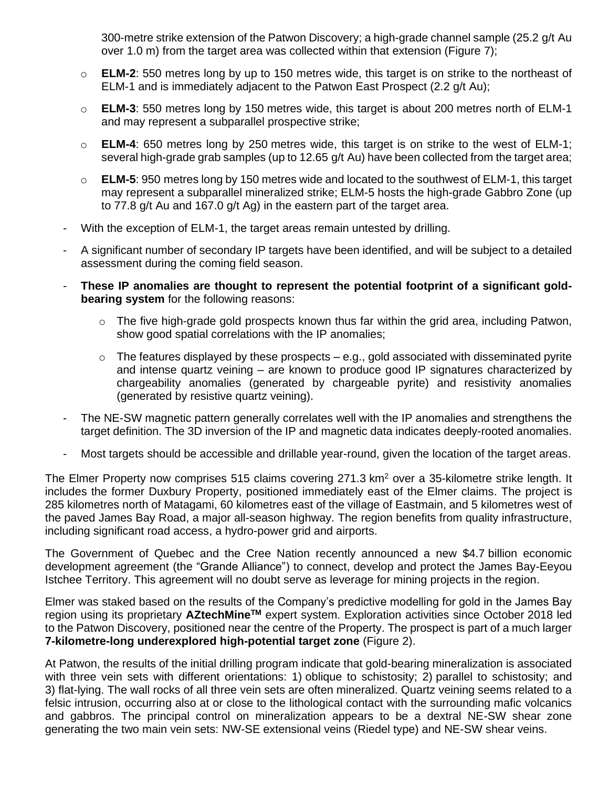300-metre strike extension of the Patwon Discovery; a high-grade channel sample (25.2 g/t Au over 1.0 m) from the target area was collected within that extension (Figure 7);

- o **ELM-2**: 550 metres long by up to 150 metres wide, this target is on strike to the northeast of ELM-1 and is immediately adjacent to the Patwon East Prospect (2.2 g/t Au);
- o **ELM-3**: 550 metres long by 150 metres wide, this target is about 200 metres north of ELM-1 and may represent a subparallel prospective strike;
- o **ELM-4**: 650 metres long by 250 metres wide, this target is on strike to the west of ELM-1; several high-grade grab samples (up to 12.65 g/t Au) have been collected from the target area;
- o **ELM-5**: 950 metres long by 150 metres wide and located to the southwest of ELM-1, this target may represent a subparallel mineralized strike; ELM-5 hosts the high-grade Gabbro Zone (up to 77.8 g/t Au and 167.0 g/t Ag) in the eastern part of the target area.
- With the exception of ELM-1, the target areas remain untested by drilling.
- A significant number of secondary IP targets have been identified, and will be subject to a detailed assessment during the coming field season.
- **These IP anomalies are thought to represent the potential footprint of a significant goldbearing system** for the following reasons:
	- o The five high-grade gold prospects known thus far within the grid area, including Patwon, show good spatial correlations with the IP anomalies;
	- $\circ$  The features displayed by these prospects e.g., gold associated with disseminated pyrite and intense quartz veining – are known to produce good IP signatures characterized by chargeability anomalies (generated by chargeable pyrite) and resistivity anomalies (generated by resistive quartz veining).
- The NE-SW magnetic pattern generally correlates well with the IP anomalies and strengthens the target definition. The 3D inversion of the IP and magnetic data indicates deeply-rooted anomalies.
- Most targets should be accessible and drillable year-round, given the location of the target areas.

The Elmer Property now comprises 515 claims covering 271.3 km<sup>2</sup> over a 35-kilometre strike length. It includes the former Duxbury Property, positioned immediately east of the Elmer claims. The project is 285 kilometres north of Matagami, 60 kilometres east of the village of Eastmain, and 5 kilometres west of the paved James Bay Road, a major all-season highway. The region benefits from quality infrastructure, including significant road access, a hydro-power grid and airports.

The Government of Quebec and the Cree Nation recently announced a new \$4.7 billion economic development agreement (the "Grande Alliance") to connect, develop and protect the James Bay-Eeyou Istchee Territory. This agreement will no doubt serve as leverage for mining projects in the region.

Elmer was staked based on the results of the Company's predictive modelling for gold in the James Bay region using its proprietary **AZtechMineTM** expert system. Exploration activities since October 2018 led to the Patwon Discovery, positioned near the centre of the Property. The prospect is part of a much larger **7-kilometre-long underexplored high-potential target zone** (Figure 2).

At Patwon, the results of the initial drilling program indicate that gold-bearing mineralization is associated with three vein sets with different orientations: 1) oblique to schistosity; 2) parallel to schistosity; and 3) flat-lying. The wall rocks of all three vein sets are often mineralized. Quartz veining seems related to a felsic intrusion, occurring also at or close to the lithological contact with the surrounding mafic volcanics and gabbros. The principal control on mineralization appears to be a dextral NE-SW shear zone generating the two main vein sets: NW-SE extensional veins (Riedel type) and NE-SW shear veins.